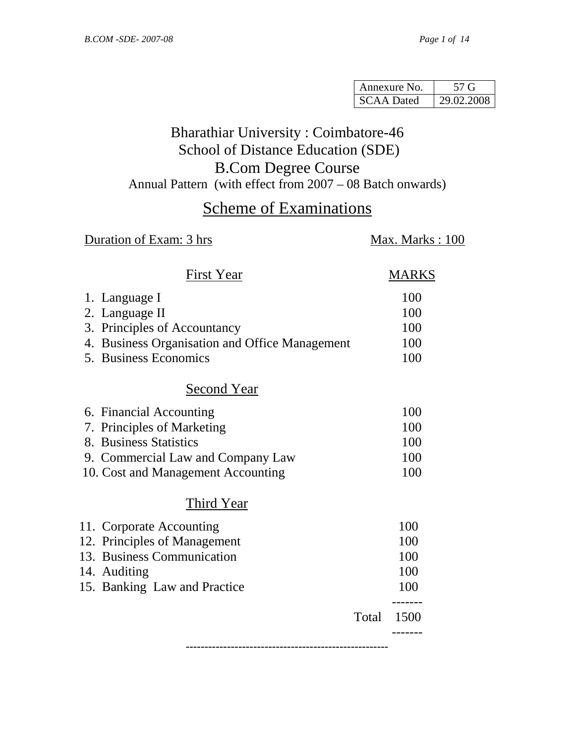| Annexure No.      | 57 G       |
|-------------------|------------|
| <b>SCAA Dated</b> | 29.02.2008 |

# Bharathiar University : Coimbatore-46 School of Distance Education (SDE) B.Com Degree Course

Annual Pattern (with effect from 2007 – 08 Batch onwards)

# Scheme of Examinations

# **Duration of Exam: 3 hrs** Max. Marks : 100

| First Year                                     | MARKS |
|------------------------------------------------|-------|
| 1. Language I                                  | 100   |
| 2. Language II                                 | 100   |
| 3. Principles of Accountancy                   | 100   |
| 4. Business Organisation and Office Management | 100   |
| 5. Business Economics                          | 100   |
| Second Year                                    |       |
| 6. Financial Accounting                        | 100   |
| 7. Principles of Marketing                     | 100   |
| 8. Business Statistics                         | 100   |
| 9. Commercial Law and Company Law              | 100   |
| 10. Cost and Management Accounting             | 100   |
| Third Year                                     |       |
| 11. Corporate Accounting                       | 100   |
| 12. Principles of Management                   | 100   |
| 13. Business Communication                     | 100   |
| 14. Auditing                                   | 100   |
| 15. Banking Law and Practice                   | 100   |
| Total                                          | 1500  |
|                                                |       |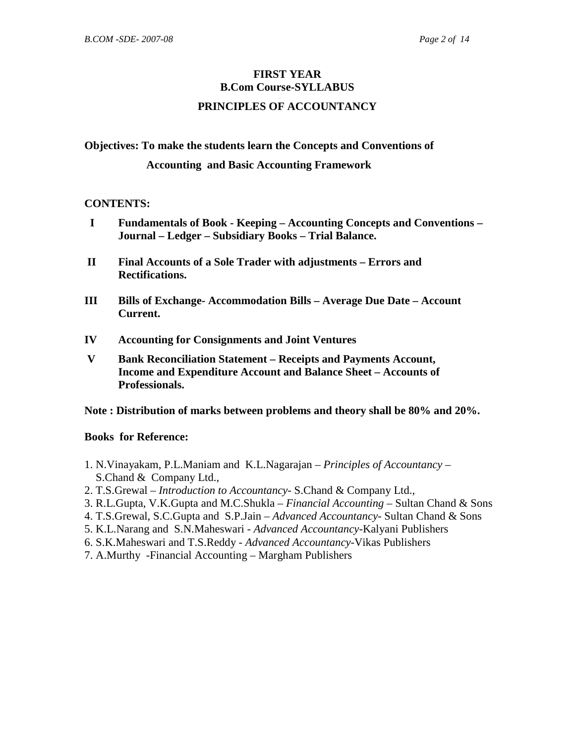### **FIRST YEAR B.Com Course-SYLLABUS**

#### **PRINCIPLES OF ACCOUNTANCY**

**Objectives: To make the students learn the Concepts and Conventions of** 

#### **Accounting and Basic Accounting Framework**

#### **CONTENTS:**

- **I Fundamentals of Book Keeping Accounting Concepts and Conventions Journal – Ledger – Subsidiary Books – Trial Balance.**
- **II Final Accounts of a Sole Trader with adjustments Errors and Rectifications.**
- **III Bills of Exchange- Accommodation Bills Average Due Date Account Current.**
- **IV Accounting for Consignments and Joint Ventures**
- **V Bank Reconciliation Statement Receipts and Payments Account, Income and Expenditure Account and Balance Sheet – Accounts of Professionals.**

#### **Note : Distribution of marks between problems and theory shall be 80% and 20%.**

- 1. N.Vinayakam, P.L.Maniam and K.L.Nagarajan *Principles of Accountancy* S.Chand & Company Ltd.,
- 2. T.S.Grewal *Introduction to Accountancy-* S.Chand & Company Ltd.,
- 3. R.L.Gupta, V.K.Gupta and M.C.Shukla *Financial Accounting* Sultan Chand & Sons
- 4. T.S.Grewal, S.C.Gupta and S.P.Jain *Advanced Accountancy-* Sultan Chand & Sons
- 5. K.L.Narang and S.N.Maheswari *Advanced Accountancy-*Kalyani Publishers
- 6. S.K.Maheswari and T.S.Reddy *Advanced Accountancy-*Vikas Publishers
- 7. A.Murthy -Financial Accounting Margham Publishers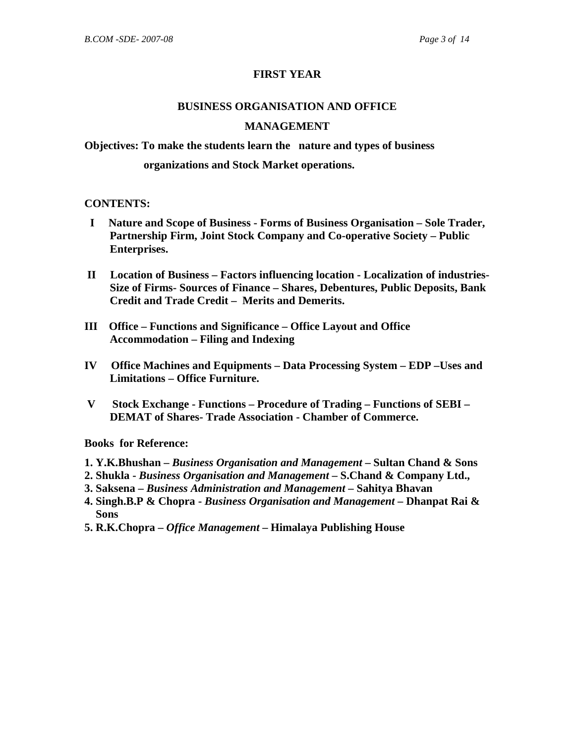#### **FIRST YEAR**

# **BUSINESS ORGANISATION AND OFFICE MANAGEMENT**

**Objectives: To make the students learn the nature and types of business** 

#### **organizations and Stock Market operations.**

#### **CONTENTS:**

- **I Nature and Scope of Business Forms of Business Organisation Sole Trader, Partnership Firm, Joint Stock Company and Co-operative Society – Public Enterprises.**
- **II Location of Business Factors influencing location Localization of industries- Size of Firms- Sources of Finance – Shares, Debentures, Public Deposits, Bank Credit and Trade Credit – Merits and Demerits.**
- **III Office Functions and Significance Office Layout and Office Accommodation – Filing and Indexing**
- **IV Office Machines and Equipments Data Processing System EDP –Uses and Limitations – Office Furniture.**
- **V Stock Exchange Functions Procedure of Trading Functions of SEBI DEMAT of Shares- Trade Association - Chamber of Commerce.**

- **1. Y.K.Bhushan** *Business Organisation and Management* **Sultan Chand & Sons**
- **2. Shukla** *Business Organisation and Management* **S.Chand & Company Ltd.,**
- **3. Saksena** *Business Administration and Management* **Sahitya Bhavan**
- **4. Singh.B.P & Chopra** *Business Organisation and Management* **Dhanpat Rai & Sons**
- **5. R.K.Chopra** *Office Management* **Himalaya Publishing House**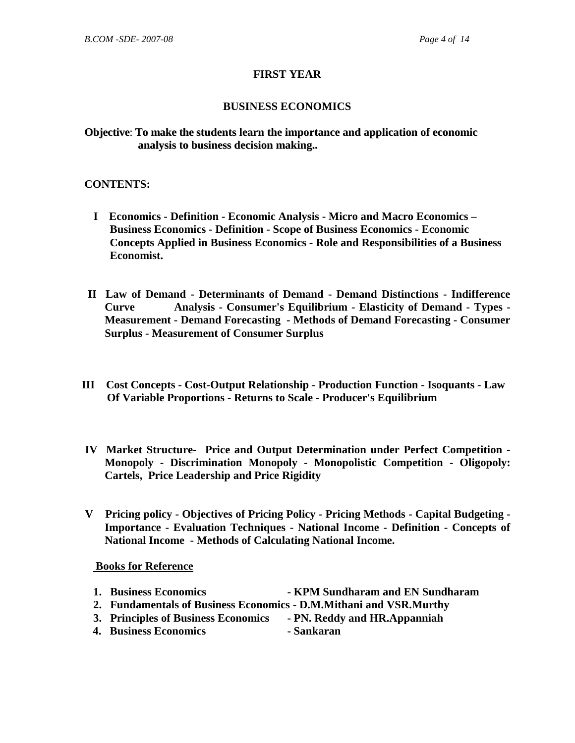#### **FIRST YEAR**

#### **BUSINESS ECONOMICS**

#### **Objective**: **To make the students learn the importance and application of economic analysis to business decision making..**

#### **CONTENTS:**

- **I Economics Definition Economic Analysis Micro and Macro Economics Business Economics - Definition - Scope of Business Economics - Economic Concepts Applied in Business Economics - Role and Responsibilities of a Business Economist.**
- **II Law of Demand Determinants of Demand Demand Distinctions Indifference Curve Analysis - Consumer's Equilibrium - Elasticity of Demand - Types - Measurement - Demand Forecasting - Methods of Demand Forecasting - Consumer Surplus - Measurement of Consumer Surplus**
- **III Cost Concepts Cost-Output Relationship Production Function Isoquants Law Of Variable Proportions - Returns to Scale - Producer's Equilibrium**
- **IV Market Structure- Price and Output Determination under Perfect Competition Monopoly - Discrimination Monopoly - Monopolistic Competition - Oligopoly: Cartels, Price Leadership and Price Rigidity**
- **V Pricing policy Objectives of Pricing Policy Pricing Methods Capital Budgeting Importance - Evaluation Techniques - National Income - Definition - Concepts of National Income - Methods of Calculating National Income.**

- **1. Business Economics KPM Sundharam and EN Sundharam 2. Fundamentals of Business Economics - D.M.Mithani and VSR.Murthy 3. Principles of Business Economics - PN. Reddy and HR.Appanniah**
- **4. Business Economics Sankaran**
-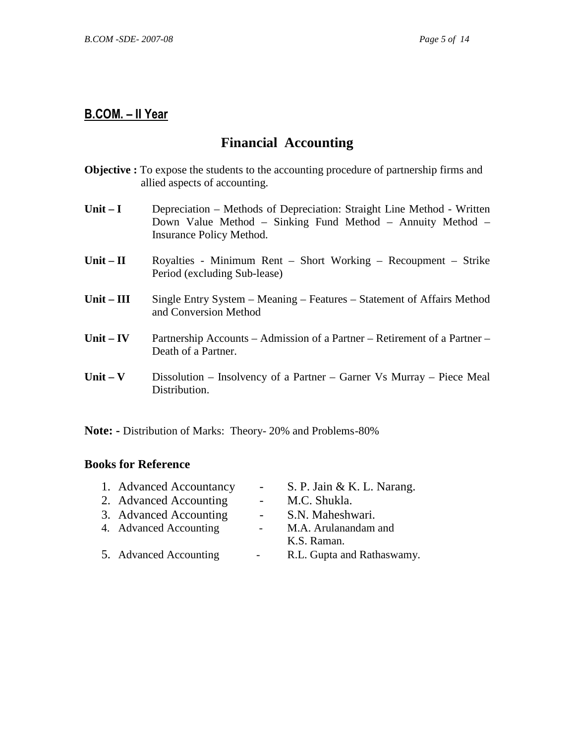# **Financial Accounting**

- **Objective :** To expose the students to the accounting procedure of partnership firms and allied aspects of accounting.
- Unit I Depreciation Methods of Depreciation: Straight Line Method Written Down Value Method – Sinking Fund Method – Annuity Method – Insurance Policy Method.
- Unit II **Royalties Minimum Rent Short Working Recoupment Strike** Period (excluding Sub-lease)
- Unit III Single Entry System Meaning Features Statement of Affairs Method and Conversion Method
- **Unit IV** Partnership Accounts Admission of a Partner Retirement of a Partner Death of a Partner.
- Unit V Dissolution Insolvency of a Partner Garner Vs Murray Piece Meal Distribution.

**Note: -** Distribution of Marks: Theory- 20% and Problems -80%

| 1. Advanced Accountancy | $\sim 100$               | S. P. Jain & K. L. Narang. |
|-------------------------|--------------------------|----------------------------|
| 2. Advanced Accounting  | $\sim$ 10 $\pm$          | M.C. Shukla.               |
| 3. Advanced Accounting  | $\omega_{\rm{max}}$      | S.N. Maheshwari.           |
| 4. Advanced Accounting  | $\omega_{\rm{max}}$      | M.A. Arulanandam and       |
|                         |                          | K.S. Raman.                |
| 5. Advanced Accounting  | $\overline{\phantom{a}}$ | R.L. Gupta and Rathaswamy. |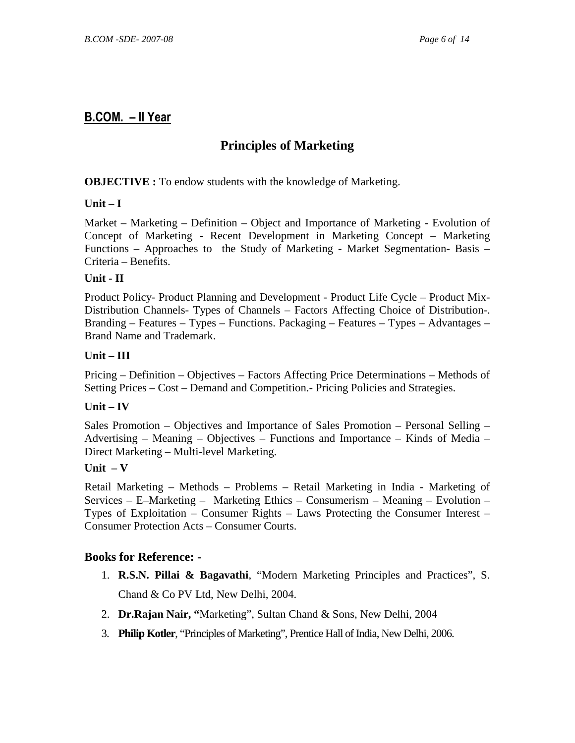# **Principles of Marketing**

#### **OBJECTIVE :** To endow students with the knowledge of Marketing.

#### **Unit – I**

Market – Marketing – Definition – Object and Importance of Marketing - Evolution of Concept of Marketing - Recent Development in Marketing Concept – Marketing Functions – Approaches to the Study of Marketing - Market Segmentation- Basis – Criteria – Benefits.

#### **Unit - II**

Product Policy- Product Planning and Development - Product Life Cycle – Product Mix-Distribution Channels- Types of Channels – Factors Affecting Choice of Distribution-. Branding – Features – Types – Functions. Packaging – Features – Types – Advantages – Brand Name and Trademark.

#### **Unit – III**

Pricing – Definition – Objectives – Factors Affecting Price Determinations – Methods of Setting Prices – Cost – Demand and Competition.- Pricing Policies and Strategies.

#### **Unit – IV**

Sales Promotion – Objectives and Importance of Sales Promotion – Personal Selling – Advertising – Meaning – Objectives – Functions and Importance – Kinds of Media – Direct Marketing – Multi-level Marketing.

#### **Unit – V**

Retail Marketing – Methods – Problems – Retail Marketing in India - Marketing of Services – E–Marketing – Marketing Ethics – Consumerism – Meaning – Evolution – Types of Exploitation – Consumer Rights – Laws Protecting the Consumer Interest – Consumer Protection Acts – Consumer Courts.

- 1. **R.S.N. Pillai & Bagavathi**, "Modern Marketing Principles and Practices", S. Chand & Co PV Ltd, New Delhi, 2004.
- 2. **Dr.Rajan Nair, "**Marketing", Sultan Chand & Sons, New Delhi, 2004
- 3. **Philip Kotler**, "Principles of Marketing", Prentice Hall of India, New Delhi, 2006.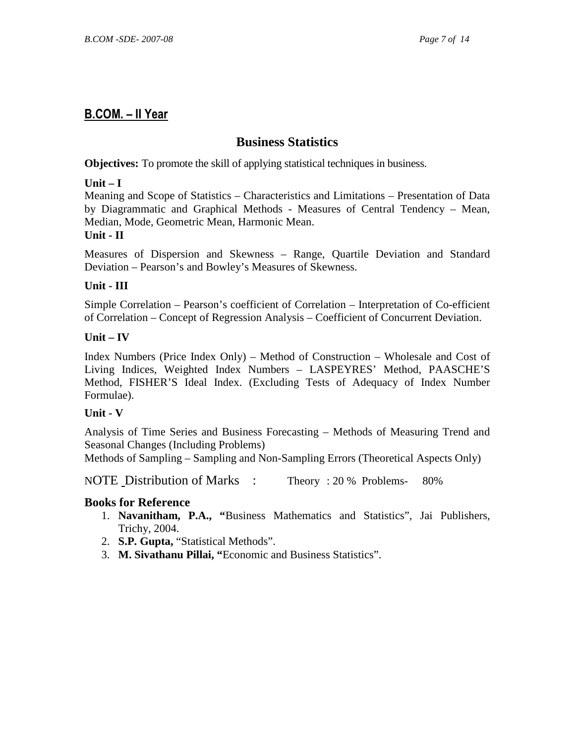#### **Business Statistics**

**Objectives:** To promote the skill of applying statistical techniques in business.

#### **Unit – I**

Meaning and Scope of Statistics – Characteristics and Limitations – Presentation of Data by Diagrammatic and Graphical Methods - Measures of Central Tendency – Mean, Median, Mode, Geometric Mean, Harmonic Mean.

#### **Unit - II**

Measures of Dispersion and Skewness – Range, Quartile Deviation and Standard Deviation – Pearson's and Bowley's Measures of Skewness.

#### **Unit - III**

Simple Correlation – Pearson's coefficient of Correlation – Interpretation of Co-efficient of Correlation – Concept of Regression Analysis – Coefficient of Concurrent Deviation.

#### **Unit – IV**

Index Numbers (Price Index Only) – Method of Construction – Wholesale and Cost of Living Indices, Weighted Index Numbers – LASPEYRES' Method, PAASCHE'S Method, FISHER'S Ideal Index. (Excluding Tests of Adequacy of Index Number Formulae).

#### **Unit - V**

Analysis of Time Series and Business Forecasting – Methods of Measuring Trend and Seasonal Changes (Including Problems)

Methods of Sampling – Sampling and Non-Sampling Errors (Theoretical Aspects Only)

NOTE Distribution of Marks : Theory : 20 % Problems- 80%

- 1. **Navanitham, P.A., "**Business Mathematics and Statistics", Jai Publishers, Trichy, 2004.
- 2. **S.P. Gupta,** "Statistical Methods".
- 3. **M. Sivathanu Pillai, "**Economic and Business Statistics".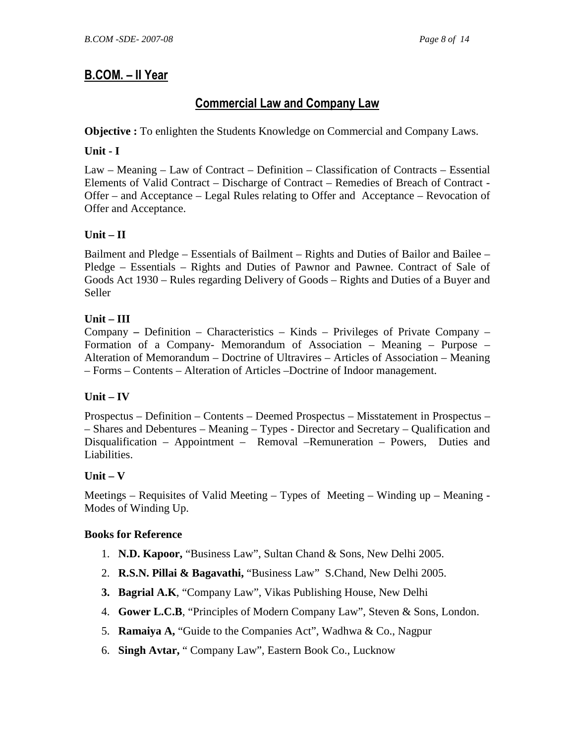# Commercial Law and Company Law

**Objective :** To enlighten the Students Knowledge on Commercial and Company Laws.

#### **Unit - I**

Law – Meaning – Law of Contract – Definition – Classification of Contracts – Essential Elements of Valid Contract – Discharge of Contract – Remedies of Breach of Contract - Offer – and Acceptance – Legal Rules relating to Offer and Acceptance – Revocation of Offer and Acceptance.

#### **Unit – II**

Bailment and Pledge – Essentials of Bailment – Rights and Duties of Bailor and Bailee – Pledge – Essentials – Rights and Duties of Pawnor and Pawnee. Contract of Sale of Goods Act 1930 – Rules regarding Delivery of Goods – Rights and Duties of a Buyer and Seller

#### **Unit – III**

Company **–** Definition – Characteristics – Kinds – Privileges of Private Company – Formation of a Company- Memorandum of Association – Meaning – Purpose – Alteration of Memorandum – Doctrine of Ultravires – Articles of Association – Meaning – Forms – Contents – Alteration of Articles –Doctrine of Indoor management.

#### **Unit – IV**

Prospectus – Definition – Contents – Deemed Prospectus – Misstatement in Prospectus – – Shares and Debentures – Meaning – Types - Director and Secretary – Qualification and Disqualification – Appointment – Removal –Remuneration – Powers, Duties and Liabilities.

#### $\textbf{Unit} - \textbf{V}$

Meetings – Requisites of Valid Meeting – Types of Meeting – Winding up – Meaning - Modes of Winding Up.

- 1. **N.D. Kapoor,** "Business Law", Sultan Chand & Sons, New Delhi 2005.
- 2. **R.S.N. Pillai & Bagavathi,** "Business Law" S.Chand, New Delhi 2005.
- **3. Bagrial A.K**, "Company Law", Vikas Publishing House, New Delhi
- 4. **Gower L.C.B**, "Principles of Modern Company Law", Steven & Sons, London.
- 5. **Ramaiya A,** "Guide to the Companies Act", Wadhwa & Co., Nagpur
- 6. **Singh Avtar,** " Company Law", Eastern Book Co., Lucknow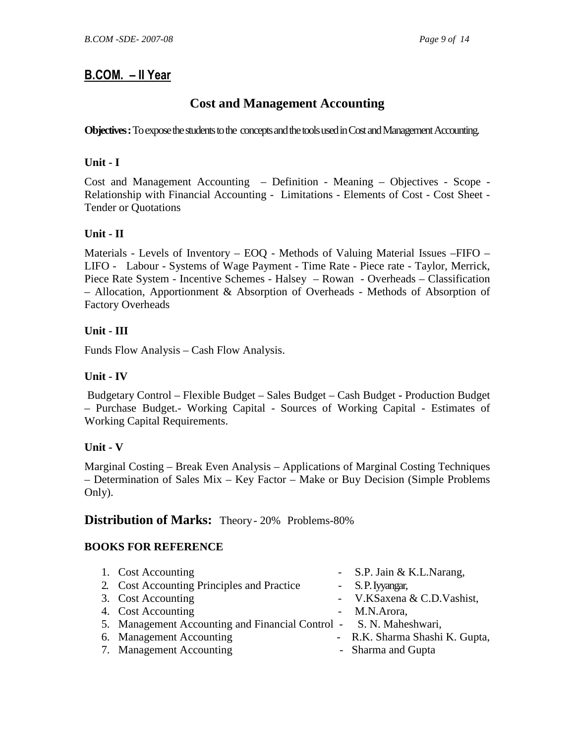### **Cost and Management Accounting**

**Objectives :** To expose the students to the concepts and the tools used in Cost and Management Accounting.

#### **Unit - I**

Cost and Management Accounting – Definition - Meaning – Objectives - Scope - Relationship with Financial Accounting - Limitations - Elements of Cost - Cost Sheet - Tender or Quotations

#### **Unit - II**

Materials - Levels of Inventory – EOQ - Methods of Valuing Material Issues –FIFO – LIFO - Labour - Systems of Wage Payment - Time Rate - Piece rate - Taylor, Merrick, Piece Rate System - Incentive Schemes - Halsey – Rowan - Overheads – Classification – Allocation, Apportionment & Absorption of Overheads - Methods of Absorption of Factory Overheads

#### **Unit - III**

Funds Flow Analysis – Cash Flow Analysis.

#### **Unit - IV**

 Budgetary Control – Flexible Budget – Sales Budget – Cash Budget **-** Production Budget – Purchase Budget.- Working Capital - Sources of Working Capital - Estimates of Working Capital Requirements.

#### **Unit - V**

Marginal Costing – Break Even Analysis – Applications of Marginal Costing Techniques – Determination of Sales Mix – Key Factor – Make or Buy Decision (Simple Problems Only).

#### **Distribution of Marks:** Theory - 20% Problems-80%

#### **BOOKS FOR REFERENCE**

| 1. Cost Accounting                                                 | - S.P. Jain & K.L. Narang,     |
|--------------------------------------------------------------------|--------------------------------|
| 2. Cost Accounting Principles and Practice                         | - S.P. Iyyangar,               |
| 3. Cost Accounting                                                 | - V.KSaxena & C.D.Vashist,     |
| 4. Cost Accounting                                                 | - M.N.Arora,                   |
| 5. Management Accounting and Financial Control - S. N. Maheshwari, |                                |
| 6. Management Accounting                                           | - R.K. Sharma Shashi K. Gupta, |
| 7. Management Accounting                                           | - Sharma and Gupta             |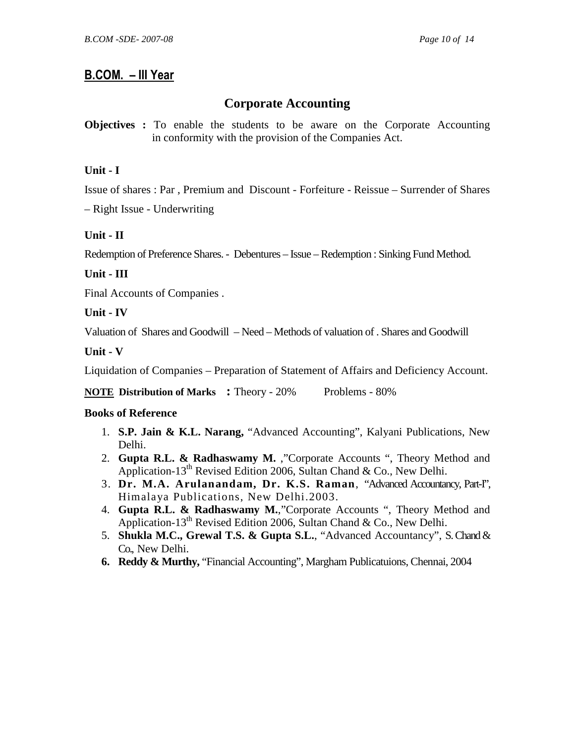### **Corporate Accounting**

**Objectives :** To enable the students to be aware on the Corporate Accounting in conformity with the provision of the Companies Act.

#### **Unit - I**

Issue of shares : Par , Premium and Discount - Forfeiture - Reissue – Surrender of Shares

– Right Issue - Underwriting

#### **Unit - II**

Redemption of Preference Shares. - Debentures – Issue – Redemption : Sinking Fund Method.

#### **Unit - III**

Final Accounts of Companies .

#### **Unit - IV**

Valuation of Shares and Goodwill – Need – Methods of valuation of . Shares and Goodwill

#### **Unit - V**

Liquidation of Companies – Preparation of Statement of Affairs and Deficiency Account.

**NOTE Distribution of Marks :** Theory - 20% Problems - 80%

- 1. **S.P. Jain & K.L. Narang,** "Advanced Accounting", Kalyani Publications, New Delhi.
- 2. **Gupta R.L. & Radhaswamy M.** ,"Corporate Accounts ", Theory Method and Application-13<sup>th</sup> Revised Edition 2006, Sultan Chand & Co., New Delhi.
- 3. **Dr. M.A. Arulanandam, Dr. K.S. Raman**, "Advanced Accountancy, Part-I", Himalaya Publications, New Delhi.2003.
- 4. **Gupta R.L. & Radhaswamy M.**,"Corporate Accounts ", Theory Method and Application-13<sup>th</sup> Revised Edition 2006, Sultan Chand & Co., New Delhi.
- 5. **Shukla M.C., Grewal T.S. & Gupta S.L.**, "Advanced Accountancy", S. Chand & Co., New Delhi.
- **6. Reddy & Murthy,** "Financial Accounting", Margham Publicatuions, Chennai, 2004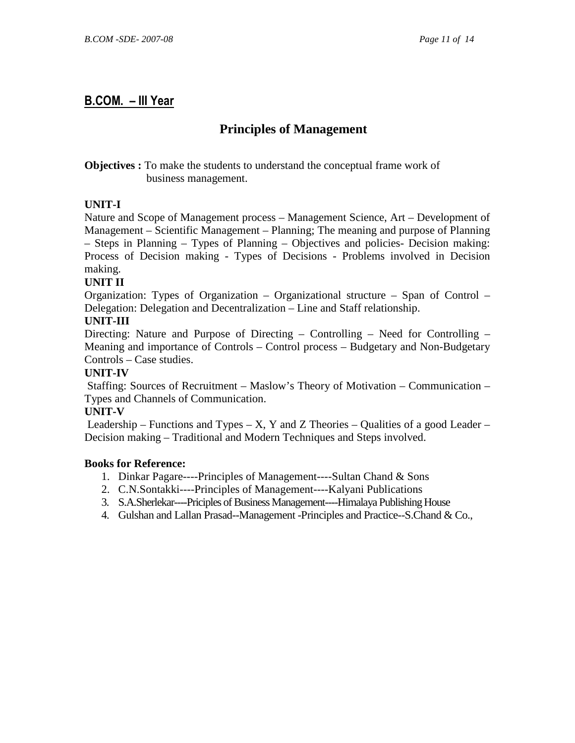### **Principles of Management**

**Objectives :** To make the students to understand the conceptual frame work of business management.

#### **UNIT-I**

Nature and Scope of Management process – Management Science, Art – Development of Management – Scientific Management – Planning; The meaning and purpose of Planning – Steps in Planning – Types of Planning – Objectives and policies- Decision making: Process of Decision making - Types of Decisions - Problems involved in Decision making.

#### **UNIT II**

Organization: Types of Organization – Organizational structure – Span of Control – Delegation: Delegation and Decentralization – Line and Staff relationship.

#### **UNIT-III**

Directing: Nature and Purpose of Directing – Controlling – Need for Controlling – Meaning and importance of Controls – Control process – Budgetary and Non-Budgetary Controls – Case studies.

#### **UNIT-IV**

 Staffing: Sources of Recruitment – Maslow's Theory of Motivation – Communication – Types and Channels of Communication.

#### **UNIT-V**

Leadership – Functions and Types – X, Y and Z Theories – Qualities of a good Leader – Decision making – Traditional and Modern Techniques and Steps involved.

- 1. Dinkar Pagare----Principles of Management----Sultan Chand & Sons
- 2. C.N.Sontakki----Principles of Management----Kalyani Publications
- 3. S.A.Sherlekar----Priciples of Business Management----Himalaya Publishing House
- 4. Gulshan and Lallan Prasad--Management -Principles and Practice--S.Chand & Co.,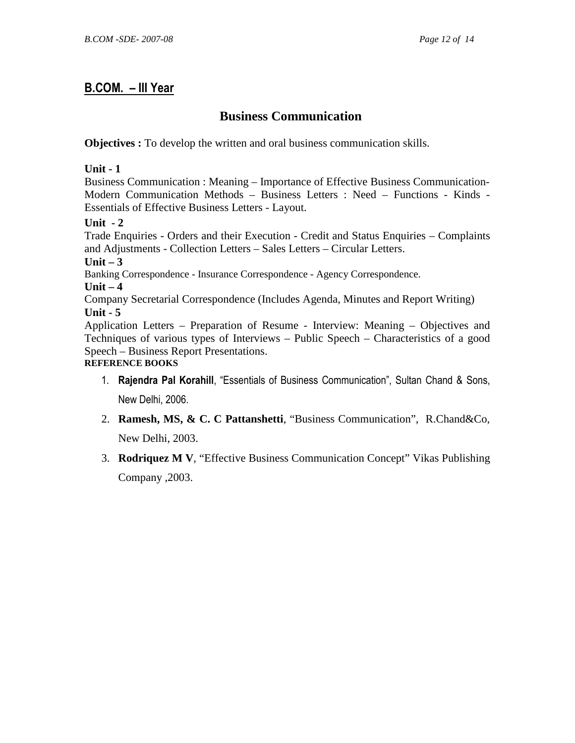# **Business Communication**

**Objectives :** To develop the written and oral business communication skills.

#### **Unit - 1**

Business Communication : Meaning – Importance of Effective Business Communication-Modern Communication Methods – Business Letters : Need – Functions - Kinds - Essentials of Effective Business Letters - Layout.

#### **Unit - 2**

Trade Enquiries - Orders and their Execution - Credit and Status Enquiries – Complaints and Adjustments - Collection Letters – Sales Letters – Circular Letters.

**Unit – 3** 

Banking Correspondence - Insurance Correspondence - Agency Correspondence.

**Unit – 4** 

Company Secretarial Correspondence (Includes Agenda, Minutes and Report Writing) **Unit - 5** 

Application Letters – Preparation of Resume - Interview: Meaning – Objectives and Techniques of various types of Interviews – Public Speech – Characteristics of a good Speech – Business Report Presentations.

### **REFERENCE BOOKS**

- 1. Rajendra Pal Korahill, "Essentials of Business Communication", Sultan Chand & Sons, New Delhi, 2006.
- 2. **Ramesh, MS, & C. C Pattanshetti**, "Business Communication", R.Chand&Co, New Delhi, 2003.
- 3. **Rodriquez M V**, "Effective Business Communication Concept" Vikas Publishing Company ,2003.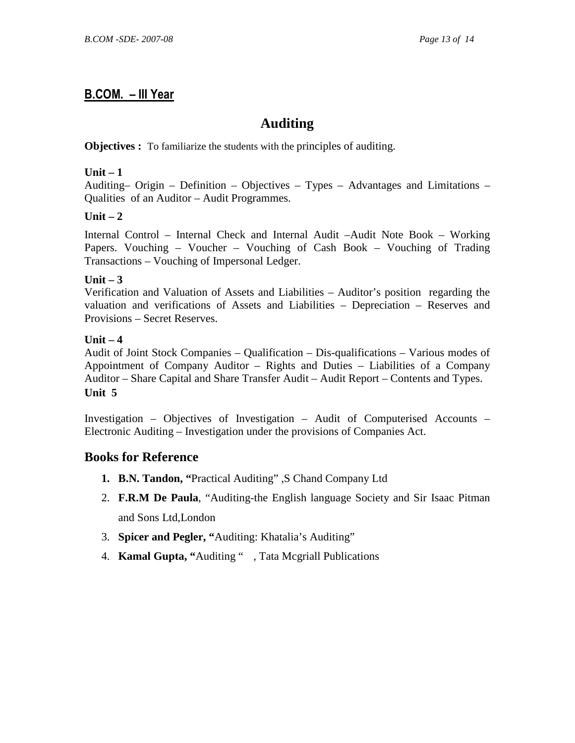## **Auditing**

#### **Objectives :** To familiarize the students with the principles of auditing.

#### **Unit – 1**

Auditing– Origin – Definition – Objectives – Types – Advantages and Limitations – Qualities of an Auditor – Audit Programmes.

#### $Unit - 2$

Internal Control – Internal Check and Internal Audit –Audit Note Book – Working Papers. Vouching – Voucher – Vouching of Cash Book – Vouching of Trading Transactions – Vouching of Impersonal Ledger.

#### **Unit – 3**

Verification and Valuation of Assets and Liabilities – Auditor's position regarding the valuation and verifications of Assets and Liabilities – Depreciation – Reserves and Provisions – Secret Reserves.

#### **Unit – 4**

Audit of Joint Stock Companies – Qualification – Dis-qualifications – Various modes of Appointment of Company Auditor – Rights and Duties – Liabilities of a Company Auditor – Share Capital and Share Transfer Audit – Audit Report – Contents and Types. **Unit 5** 

Investigation – Objectives of Investigation – Audit of Computerised Accounts – Electronic Auditing – Investigation under the provisions of Companies Act.

- **1. B.N. Tandon, "**Practical Auditing" ,S Chand Company Ltd
- 2. **F.R.M De Paula**, "Auditing-the English language Society and Sir Isaac Pitman and Sons Ltd,London
- 3. **Spicer and Pegler, "**Auditing: Khatalia's Auditing"
- 4. **Kamal Gupta, "**Auditing " , Tata Mcgriall Publications